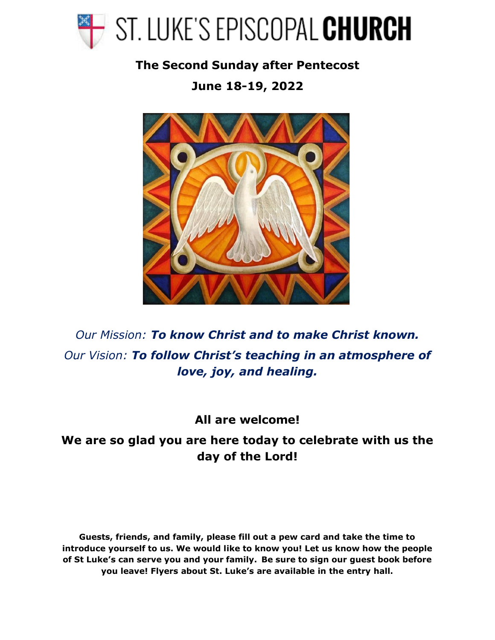

**The Second Sunday after Pentecost** 

**June 18-19, 2022**



*Our Mission: To know Christ and to make Christ known. Our Vision: To follow Christ's teaching in an atmosphere of love, joy, and healing.*

**All are welcome!**

**We are so glad you are here today to celebrate with us the day of the Lord!**

**Guests, friends, and family, please fill out a pew card and take the time to introduce yourself to us. We would like to know you! Let us know how the people of St Luke's can serve you and your family. Be sure to sign our guest book before you leave! Flyers about St. Luke's are available in the entry hall.**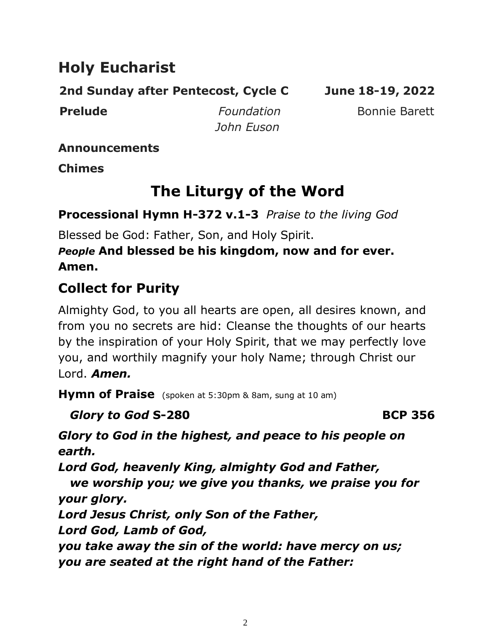# **Holy Eucharist**

**2nd Sunday after Pentecost, Cycle C June 18-19, 2022** 

**Prelude** *Foundation* Bonnie Barett *John Euson*

**Announcements** 

**Chimes**

# **The Liturgy of the Word**

**Processional Hymn H-372 v.1-3** *Praise to the living God*

Blessed be God: Father, Son, and Holy Spirit.

### *People* **And blessed be his kingdom, now and for ever. Amen.**

# **Collect for Purity**

Almighty God, to you all hearts are open, all desires known, and from you no secrets are hid: Cleanse the thoughts of our hearts by the inspiration of your Holy Spirit, that we may perfectly love you, and worthily magnify your holy Name; through Christ our Lord. *Amen.*

**Hymn of Praise** (spoken at 5:30pm & 8am, sung at 10 am)

*Glory to God* **S-280 BCP 356**

*Glory to God in the highest, and peace to his people on earth.*

*Lord God, heavenly King, almighty God and Father,*

*we worship you; we give you thanks, we praise you for your glory.*

*Lord Jesus Christ, only Son of the Father,* 

*Lord God, Lamb of God,*

*you take away the sin of the world: have mercy on us; you are seated at the right hand of the Father:*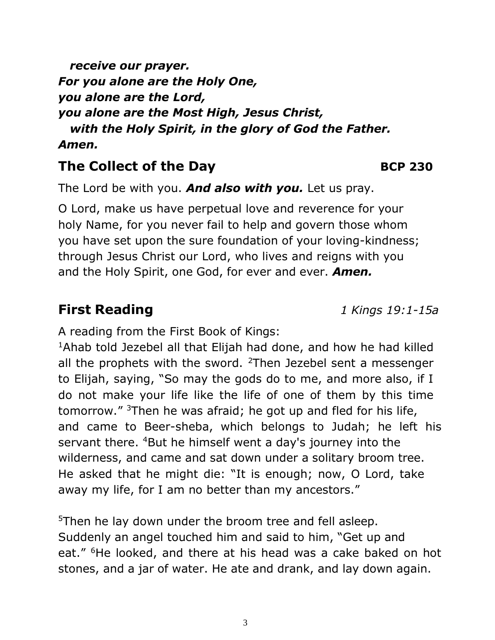*receive our prayer. For you alone are the Holy One, you alone are the Lord, you alone are the Most High, Jesus Christ, with the Holy Spirit, in the glory of God the Father. Amen.*

## **The Collect of the Day BCP** 230

The Lord be with you. *And also with you.* Let us pray.

O Lord, make us have perpetual love and reverence for your holy Name, for you never fail to help and govern those whom you have set upon the sure foundation of your loving-kindness; through Jesus Christ our Lord, who lives and reigns with you and the Holy Spirit, one God, for ever and ever. *Amen.*

A reading from the First Book of Kings:

<sup>1</sup>Ahab told Jezebel all that Elijah had done, and how he had killed all the prophets with the sword.  $2$ Then Jezebel sent a messenger to Elijah, saying, "So may the gods do to me, and more also, if I do not make your life like the life of one of them by this time tomorrow." <sup>3</sup>Then he was afraid; he got up and fled for his life, and came to Beer-sheba, which belongs to Judah; he left his servant there. <sup>4</sup>But he himself went a day's journey into the wilderness, and came and sat down under a solitary broom tree. He asked that he might die: "It is enough; now, O Lord, take away my life, for I am no better than my ancestors."

 $5$ Then he lay down under the broom tree and fell asleep. Suddenly an angel touched him and said to him, "Get up and eat." <sup>6</sup>He looked, and there at his head was a cake baked on hot stones, and a jar of water. He ate and drank, and lay down again.

**First Reading** *1 Kings 19:1-15a*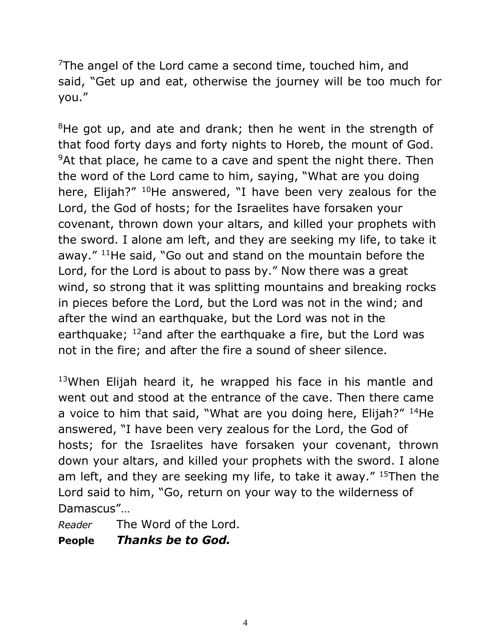$7$ The angel of the Lord came a second time, touched him, and said, "Get up and eat, otherwise the journey will be too much for you."

 $8$ He got up, and ate and drank; then he went in the strength of that food forty days and forty nights to Horeb, the mount of God.  $9$ At that place, he came to a cave and spent the night there. Then the word of the Lord came to him, saying, "What are you doing here, Elijah?" <sup>10</sup>He answered, "I have been very zealous for the Lord, the God of hosts; for the Israelites have forsaken your covenant, thrown down your altars, and killed your prophets with the sword. I alone am left, and they are seeking my life, to take it away." <sup>11</sup>He said, "Go out and stand on the mountain before the Lord, for the Lord is about to pass by." Now there was a great wind, so strong that it was splitting mountains and breaking rocks in pieces before the Lord, but the Lord was not in the wind; and after the wind an earthquake, but the Lord was not in the earthquake; <sup>12</sup>and after the earthquake a fire, but the Lord was not in the fire; and after the fire a sound of sheer silence.

 $13$ When Elijah heard it, he wrapped his face in his mantle and went out and stood at the entrance of the cave. Then there came a voice to him that said, "What are you doing here, Elijah?" <sup>14</sup>He answered, "I have been very zealous for the Lord, the God of hosts; for the Israelites have forsaken your covenant, thrown down your altars, and killed your prophets with the sword. I alone am left, and they are seeking my life, to take it away." <sup>15</sup>Then the Lord said to him, "Go, return on your way to the wilderness of Damascus"…

*Reader* The Word of the Lord. **People** *Thanks be to God.*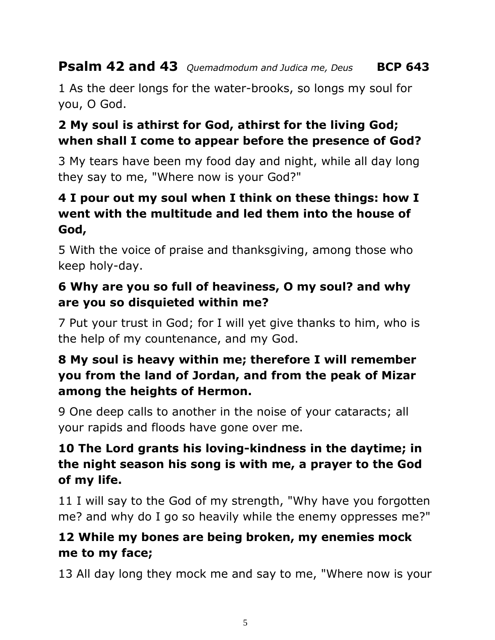## **Psalm 42 and 43** *Quemadmodum and Judica me, Deus* **BCP 643**

1 As the deer longs for the water-brooks, so longs my soul for you, O God.

### **2 My soul is athirst for God, athirst for the living God; when shall I come to appear before the presence of God?**

3 My tears have been my food day and night, while all day long they say to me, "Where now is your God?"

## **4 I pour out my soul when I think on these things: how I went with the multitude and led them into the house of God,**

5 With the voice of praise and thanksgiving, among those who keep holy-day.

#### **6 Why are you so full of heaviness, O my soul? and why are you so disquieted within me?**

7 Put your trust in God; for I will yet give thanks to him, who is the help of my countenance, and my God.

## **8 My soul is heavy within me; therefore I will remember you from the land of Jordan, and from the peak of Mizar among the heights of Hermon.**

9 One deep calls to another in the noise of your cataracts; all your rapids and floods have gone over me.

#### **10 The Lord grants his loving-kindness in the daytime; in the night season his song is with me, a prayer to the God of my life.**

11 I will say to the God of my strength, "Why have you forgotten me? and why do I go so heavily while the enemy oppresses me?"

## **12 While my bones are being broken, my enemies mock me to my face;**

13 All day long they mock me and say to me, "Where now is your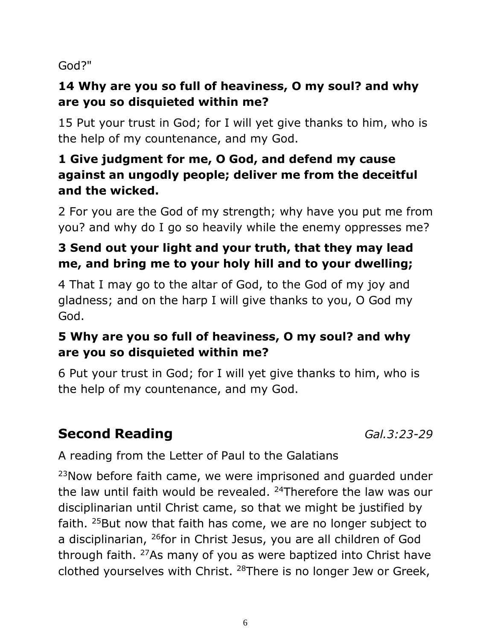God?"

## **14 Why are you so full of heaviness, O my soul? and why are you so disquieted within me?**

15 Put your trust in God; for I will yet give thanks to him, who is the help of my countenance, and my God.

## **1 Give judgment for me, O God, and defend my cause against an ungodly people; deliver me from the deceitful and the wicked.**

2 For you are the God of my strength; why have you put me from you? and why do I go so heavily while the enemy oppresses me?

## **3 Send out your light and your truth, that they may lead me, and bring me to your holy hill and to your dwelling;**

4 That I may go to the altar of God, to the God of my joy and gladness; and on the harp I will give thanks to you, O God my God.

## **5 Why are you so full of heaviness, O my soul? and why are you so disquieted within me?**

6 Put your trust in God; for I will yet give thanks to him, who is the help of my countenance, and my God.

# **Second Reading** *Gal.3:23-29*

A reading from the Letter of Paul to the Galatians

 $23$ Now before faith came, we were imprisoned and guarded under the law until faith would be revealed.  $24$ Therefore the law was our disciplinarian until Christ came, so that we might be justified by faith. <sup>25</sup>But now that faith has come, we are no longer subject to a disciplinarian, <sup>26</sup>for in Christ Jesus, you are all children of God through faith. <sup>27</sup>As many of you as were baptized into Christ have clothed yourselves with Christ. <sup>28</sup>There is no longer Jew or Greek,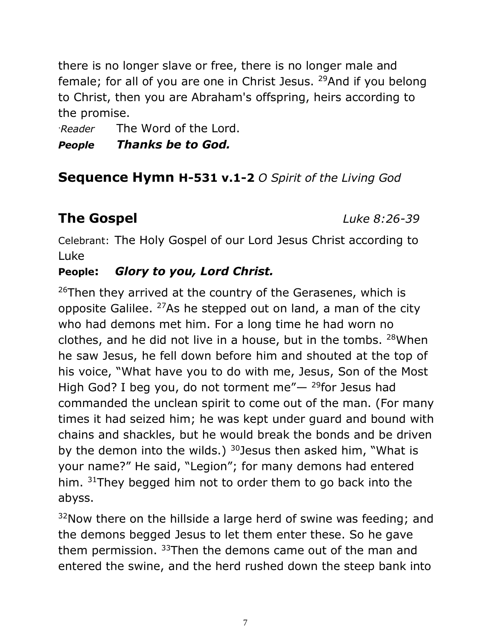there is no longer slave or free, there is no longer male and female; for all of you are one in Christ Jesus. <sup>29</sup>And if you belong to Christ, then you are Abraham's offspring, heirs according to the promise.

.*Reader* The Word of the Lord.

#### *People Thanks be to God.*

## **Sequence Hymn H-531 v.1-2** *O Spirit of the Living God*

# **The Gospel** *Luke 8:26-39*

Celebrant: The Holy Gospel of our Lord Jesus Christ according to Luke

#### **People:** *Glory to you, Lord Christ.*

 $26$ Then they arrived at the country of the Gerasenes, which is opposite Galilee.  $27$ As he stepped out on land, a man of the city who had demons met him. For a long time he had worn no clothes, and he did not live in a house, but in the tombs. <sup>28</sup>When he saw Jesus, he fell down before him and shouted at the top of his voice, "What have you to do with me, Jesus, Son of the Most High God? I beg you, do not torment me" $-$  <sup>29</sup>for Jesus had commanded the unclean spirit to come out of the man. (For many times it had seized him; he was kept under guard and bound with chains and shackles, but he would break the bonds and be driven by the demon into the wilds.)  $30$  Jesus then asked him, "What is your name?" He said, "Legion"; for many demons had entered him. 31They begged him not to order them to go back into the abyss.

 $32$ Now there on the hillside a large herd of swine was feeding; and the demons begged Jesus to let them enter these. So he gave them permission. <sup>33</sup>Then the demons came out of the man and entered the swine, and the herd rushed down the steep bank into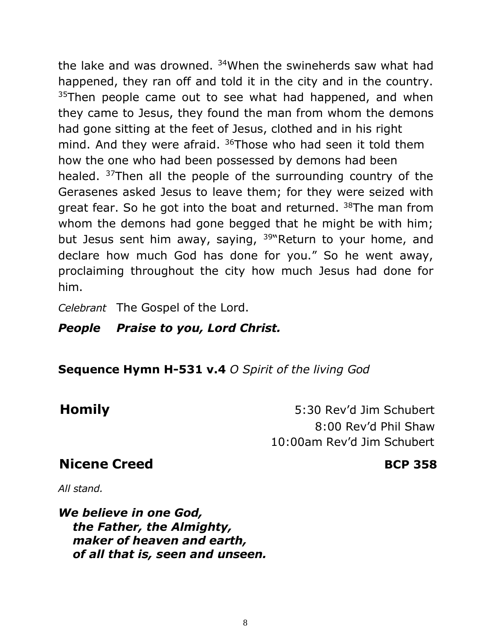the lake and was drowned. <sup>34</sup>When the swineherds saw what had happened, they ran off and told it in the city and in the country.  $35$ Then people came out to see what had happened, and when they came to Jesus, they found the man from whom the demons had gone sitting at the feet of Jesus, clothed and in his right mind. And they were afraid. <sup>36</sup>Those who had seen it told them how the one who had been possessed by demons had been healed. <sup>37</sup>Then all the people of the surrounding country of the Gerasenes asked Jesus to leave them; for they were seized with great fear. So he got into the boat and returned. <sup>38</sup>The man from whom the demons had gone begged that he might be with him; but Jesus sent him away, saying, <sup>39"</sup>Return to your home, and declare how much God has done for you." So he went away, proclaiming throughout the city how much Jesus had done for him.

*Celebrant* The Gospel of the Lord.

#### *People Praise to you, Lord Christ.*

**Sequence Hymn H-531 v.4** *O Spirit of the living God*

**Homily** 5:30 Rev'd Jim Schubert 8:00 Rev'd Phil Shaw 10:00am Rev'd Jim Schubert

## **Nicene** Creed **BCP** 358

*All stand.*

*We believe in one God, the Father, the Almighty, maker of heaven and earth, of all that is, seen and unseen.*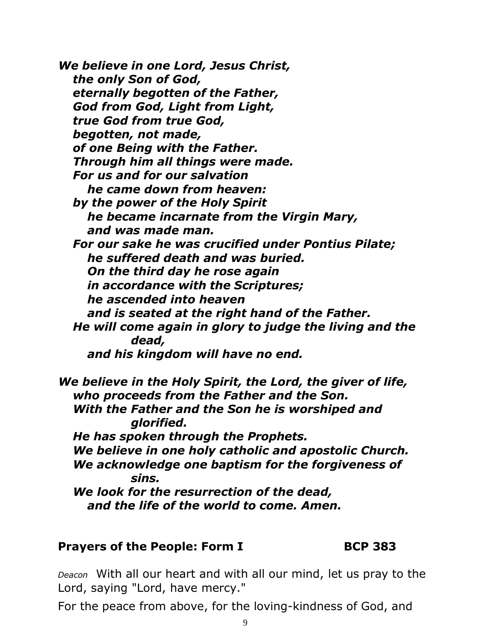*We believe in one Lord, Jesus Christ, the only Son of God, eternally begotten of the Father, God from God, Light from Light, true God from true God, begotten, not made, of one Being with the Father. Through him all things were made. For us and for our salvation he came down from heaven: by the power of the Holy Spirit he became incarnate from the Virgin Mary, and was made man. For our sake he was crucified under Pontius Pilate; he suffered death and was buried. On the third day he rose again in accordance with the Scriptures; he ascended into heaven and is seated at the right hand of the Father. He will come again in glory to judge the living and the dead, and his kingdom will have no end.*

*We believe in the Holy Spirit, the Lord, the giver of life, who proceeds from the Father and the Son. With the Father and the Son he is worshiped and glorified. He has spoken through the Prophets. We believe in one holy catholic and apostolic Church. We acknowledge one baptism for the forgiveness of sins. We look for the resurrection of the dead, and the life of the world to come. Amen.*

#### **Prayers of the People: Form I BCP 383**

*Deacon* With all our heart and with all our mind, let us pray to the Lord, saying "Lord, have mercy."

For the peace from above, for the loving-kindness of God, and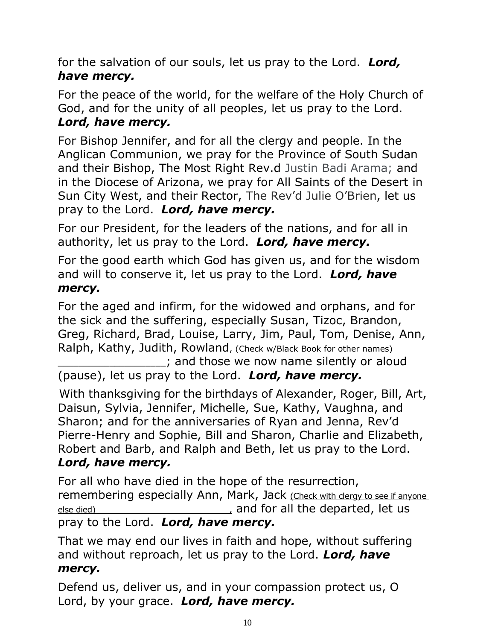for the salvation of our souls, let us pray to the Lord. *Lord, have mercy.*

For the peace of the world, for the welfare of the Holy Church of God, and for the unity of all peoples, let us pray to the Lord. *Lord, have mercy.*

For Bishop Jennifer, and for all the clergy and people. In the Anglican Communion, we pray for the Province of South Sudan and their Bishop, The Most Right Rev.d Justin Badi Arama; and in the Diocese of Arizona, we pray for All Saints of the Desert in Sun City West, and their Rector, The Rev'd Julie O'Brien, let us pray to the Lord. *Lord, have mercy.*

For our President, for the leaders of the nations, and for all in authority, let us pray to the Lord. *Lord, have mercy.*

For the good earth which God has given us, and for the wisdom and will to conserve it, let us pray to the Lord. *Lord, have mercy.*

For the aged and infirm, for the widowed and orphans, and for the sick and the suffering, especially Susan, Tizoc, Brandon, Greg, Richard, Brad, Louise, Larry, Jim, Paul, Tom, Denise, Ann, Ralph, Kathy, Judith, Rowland, (Check w/Black Book for other names)

\_\_\_\_\_\_\_\_\_\_\_\_\_\_\_\_\_\_\_\_\_; and those we now name silently or aloud (pause), let us pray to the Lord. *Lord, have mercy.*

With thanksgiving for the birthdays of Alexander, Roger, Bill, Art, Daisun, Sylvia, Jennifer, Michelle, Sue, Kathy, Vaughna, and Sharon; and for the anniversaries of Ryan and Jenna, Rev'd Pierre-Henry and Sophie, Bill and Sharon, Charlie and Elizabeth, Robert and Barb, and Ralph and Beth, let us pray to the Lord. *Lord, have mercy.*

For all who have died in the hope of the resurrection, remembering especially Ann, Mark, Jack (Check with clergy to see if anyone else died) else died) else died) else died) and for all the departed, let us pray to the Lord. *Lord, have mercy.*

That we may end our lives in faith and hope, without suffering and without reproach, let us pray to the Lord. *Lord, have mercy.*

Defend us, deliver us, and in your compassion protect us, O Lord, by your grace. *Lord, have mercy.*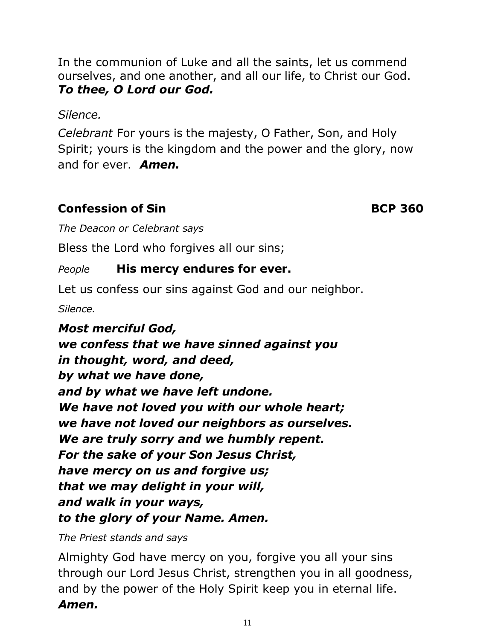In the communion of Luke and all the saints, let us commend ourselves, and one another, and all our life, to Christ our God. *To thee, O Lord our God.*

*Silence.*

*Celebrant* For yours is the majesty, O Father, Son, and Holy Spirit; yours is the kingdom and the power and the glory, now and for ever. *Amen.*

#### **Confession of Sin BCP** 360

*The Deacon or Celebrant says*

Bless the Lord who forgives all our sins;

#### *People* **His mercy endures for ever.**

Let us confess our sins against God and our neighbor.

*Silence.*

*Most merciful God, we confess that we have sinned against you in thought, word, and deed, by what we have done, and by what we have left undone. We have not loved you with our whole heart; we have not loved our neighbors as ourselves. We are truly sorry and we humbly repent. For the sake of your Son Jesus Christ, have mercy on us and forgive us; that we may delight in your will, and walk in your ways, to the glory of your Name. Amen.*

*The Priest stands and says*

Almighty God have mercy on you, forgive you all your sins through our Lord Jesus Christ, strengthen you in all goodness, and by the power of the Holy Spirit keep you in eternal life. *Amen.*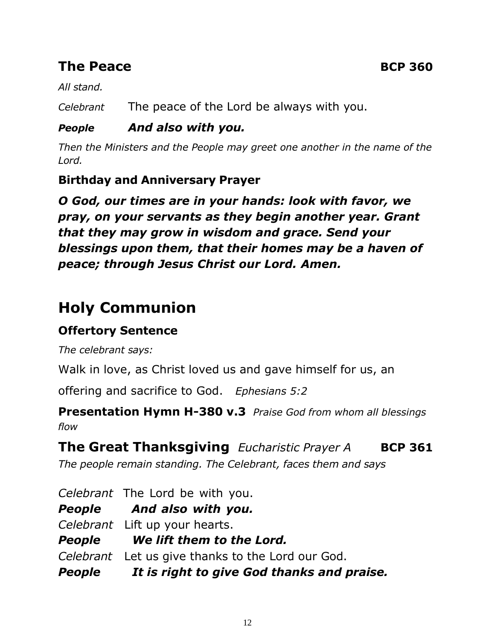## **The Peace BCP** 360

*All stand.*

*Celebrant* The peace of the Lord be always with you.

#### *People And also with you.*

*Then the Ministers and the People may greet one another in the name of the Lord.*

#### **Birthday and Anniversary Prayer**

*O God, our times are in your hands: look with favor, we pray, on your servants as they begin another year. Grant that they may grow in wisdom and grace. Send your blessings upon them, that their homes may be a haven of peace; through Jesus Christ our Lord. Amen.*

# **Holy Communion**

## **Offertory Sentence**

*The celebrant says:*

Walk in love, as Christ loved us and gave himself for us, an

offering and sacrifice to God. *Ephesians 5:2*

**Presentation Hymn H-380 v.3** *Praise God from whom all blessings flow*

## **The Great Thanksgiving** *Eucharistic Prayer A* **BCP 361**

*The people remain standing. The Celebrant, faces them and says*

| People It is right to give God thanks and praise. |
|---------------------------------------------------|
| Celebrant Let us give thanks to the Lord our God. |
| People We lift them to the Lord.                  |
| Celebrant Lift up your hearts.                    |
| People And also with you.                         |
| Celebrant The Lord be with you.                   |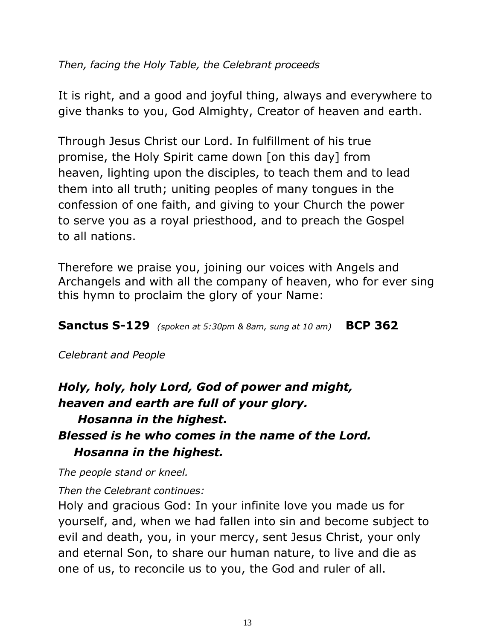#### *Then, facing the Holy Table, the Celebrant proceeds*

It is right, and a good and joyful thing, always and everywhere to give thanks to you, God Almighty, Creator of heaven and earth.

Through Jesus Christ our Lord. In fulfillment of his true promise, the Holy Spirit came down [on this day] from heaven, lighting upon the disciples, to teach them and to lead them into all truth; uniting peoples of many tongues in the confession of one faith, and giving to your Church the power to serve you as a royal priesthood, and to preach the Gospel to all nations.

Therefore we praise you, joining our voices with Angels and Archangels and with all the company of heaven, who for ever sing this hymn to proclaim the glory of your Name:

**Sanctus S-129** *(spoken at 5:30pm & 8am, sung at 10 am)* **BCP 362**

*Celebrant and People*

## *Holy, holy, holy Lord, God of power and might, heaven and earth are full of your glory. Hosanna in the highest. Blessed is he who comes in the name of the Lord. Hosanna in the highest.*

*The people stand or kneel.* 

*Then the Celebrant continues:*

Holy and gracious God: In your infinite love you made us for yourself, and, when we had fallen into sin and become subject to evil and death, you, in your mercy, sent Jesus Christ, your only and eternal Son, to share our human nature, to live and die as one of us, to reconcile us to you, the God and ruler of all.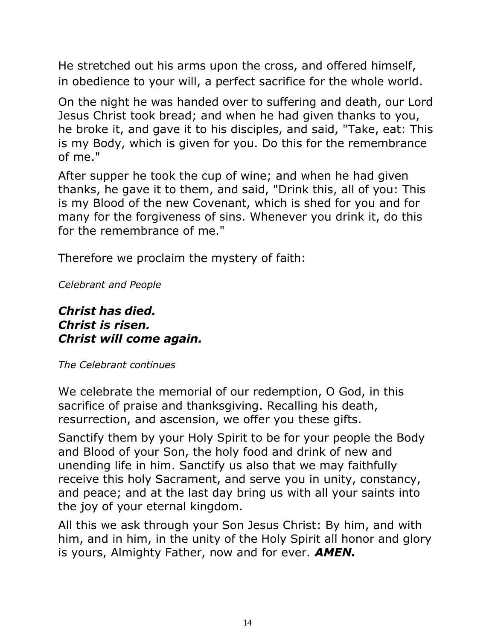He stretched out his arms upon the cross, and offered himself, in obedience to your will, a perfect sacrifice for the whole world.

On the night he was handed over to suffering and death, our Lord Jesus Christ took bread; and when he had given thanks to you, he broke it, and gave it to his disciples, and said, "Take, eat: This is my Body, which is given for you. Do this for the remembrance of me."

After supper he took the cup of wine; and when he had given thanks, he gave it to them, and said, "Drink this, all of you: This is my Blood of the new Covenant, which is shed for you and for many for the forgiveness of sins. Whenever you drink it, do this for the remembrance of me."

Therefore we proclaim the mystery of faith:

*Celebrant and People*

#### *Christ has died. Christ is risen. Christ will come again.*

*The Celebrant continues*

We celebrate the memorial of our redemption, O God, in this sacrifice of praise and thanksgiving. Recalling his death, resurrection, and ascension, we offer you these gifts.

Sanctify them by your Holy Spirit to be for your people the Body and Blood of your Son, the holy food and drink of new and unending life in him. Sanctify us also that we may faithfully receive this holy Sacrament, and serve you in unity, constancy, and peace; and at the last day bring us with all your saints into the joy of your eternal kingdom.

All this we ask through your Son Jesus Christ: By him, and with him, and in him, in the unity of the Holy Spirit all honor and glory is yours, Almighty Father, now and for ever. *AMEN.*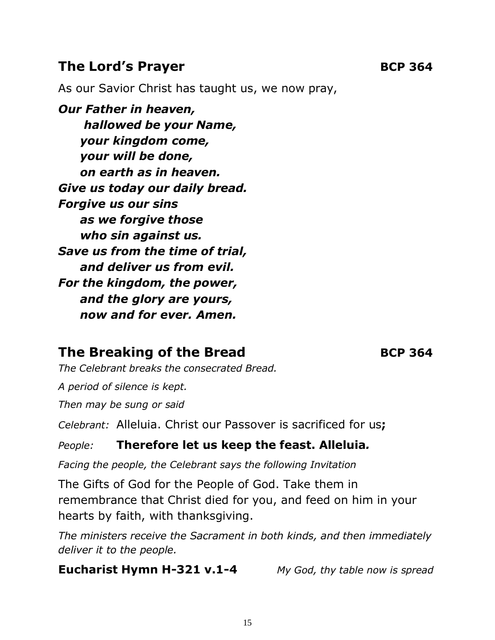#### **The Lord's Prayer BCP** 364

As our Savior Christ has taught us, we now pray,

*Our Father in heaven, hallowed be your Name, your kingdom come, your will be done, on earth as in heaven. Give us today our daily bread. Forgive us our sins as we forgive those who sin against us. Save us from the time of trial, and deliver us from evil. For the kingdom, the power, and the glory are yours, now and for ever. Amen.*

## **The Breaking of the Bread BCP 364**

*The Celebrant breaks the consecrated Bread.* 

*A period of silence is kept.*

*Then may be sung or said*

*Celebrant:* Alleluia. Christ our Passover is sacrificed for us**;**

#### *People:* **Therefore let us keep the feast. Alleluia***.*

*Facing the people, the Celebrant says the following Invitation*

The Gifts of God for the People of God. Take them in remembrance that Christ died for you, and feed on him in your hearts by faith, with thanksgiving.

*The ministers receive the Sacrament in both kinds, and then immediately deliver it to the people.*

**Eucharist Hymn H-321 v.1-4** *My God, thy table now is spread*